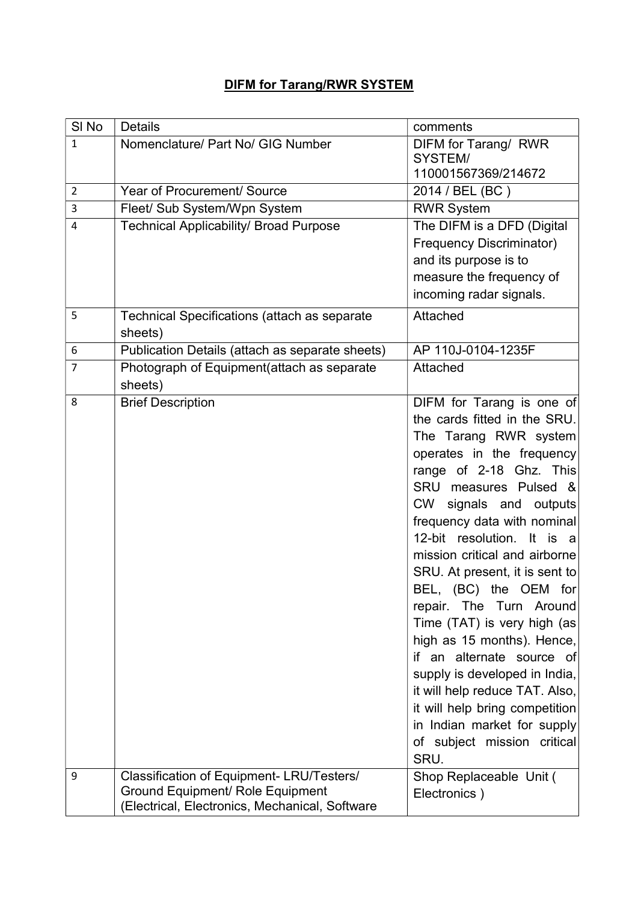## **DIFM for Tarang/RWR SYSTEM**

| SI <sub>No</sub> | <b>Details</b>                                      | comments                         |
|------------------|-----------------------------------------------------|----------------------------------|
| $\mathbf 1$      | Nomenclature/ Part No/ GIG Number                   | DIFM for Tarang/ RWR             |
|                  |                                                     | SYSTEM/                          |
|                  |                                                     | 110001567369/214672              |
| $\overline{2}$   | Year of Procurement/ Source                         | 2014 / BEL (BC)                  |
| 3                | Fleet/ Sub System/Wpn System                        | <b>RWR System</b>                |
| 4                | <b>Technical Applicability/ Broad Purpose</b>       | The DIFM is a DFD (Digital       |
|                  |                                                     | <b>Frequency Discriminator)</b>  |
|                  |                                                     | and its purpose is to            |
|                  |                                                     | measure the frequency of         |
|                  |                                                     | incoming radar signals.          |
| 5                | <b>Technical Specifications (attach as separate</b> | Attached                         |
|                  | sheets)                                             |                                  |
| 6                | Publication Details (attach as separate sheets)     | AP 110J-0104-1235F               |
| $\overline{7}$   | Photograph of Equipment(attach as separate          | Attached                         |
|                  | sheets)                                             |                                  |
| 8                | <b>Brief Description</b>                            | DIFM for Tarang is one of        |
|                  |                                                     | the cards fitted in the SRU.     |
|                  |                                                     | The Tarang RWR system            |
|                  |                                                     | operates in the frequency        |
|                  |                                                     | range of 2-18 Ghz. This          |
|                  |                                                     | SRU measures Pulsed &            |
|                  |                                                     | signals and outputs<br><b>CW</b> |
|                  |                                                     | frequency data with nominal      |
|                  |                                                     | 12-bit resolution. It is a       |
|                  |                                                     | mission critical and airborne    |
|                  |                                                     | SRU. At present, it is sent to   |
|                  |                                                     | BEL, (BC) the OEM for            |
|                  |                                                     | repair. The Turn Around          |
|                  |                                                     | Time (TAT) is very high (as      |
|                  |                                                     | high as 15 months). Hence,       |
|                  |                                                     | if an alternate source of        |
|                  |                                                     | supply is developed in India,    |
|                  |                                                     | it will help reduce TAT. Also,   |
|                  |                                                     | it will help bring competition   |
|                  |                                                     | in Indian market for supply      |
|                  |                                                     | of subject mission critical      |
|                  |                                                     | SRU.                             |
| 9                | Classification of Equipment-LRU/Testers/            | Shop Replaceable Unit (          |
|                  | <b>Ground Equipment/ Role Equipment</b>             | Electronics)                     |
|                  | (Electrical, Electronics, Mechanical, Software      |                                  |